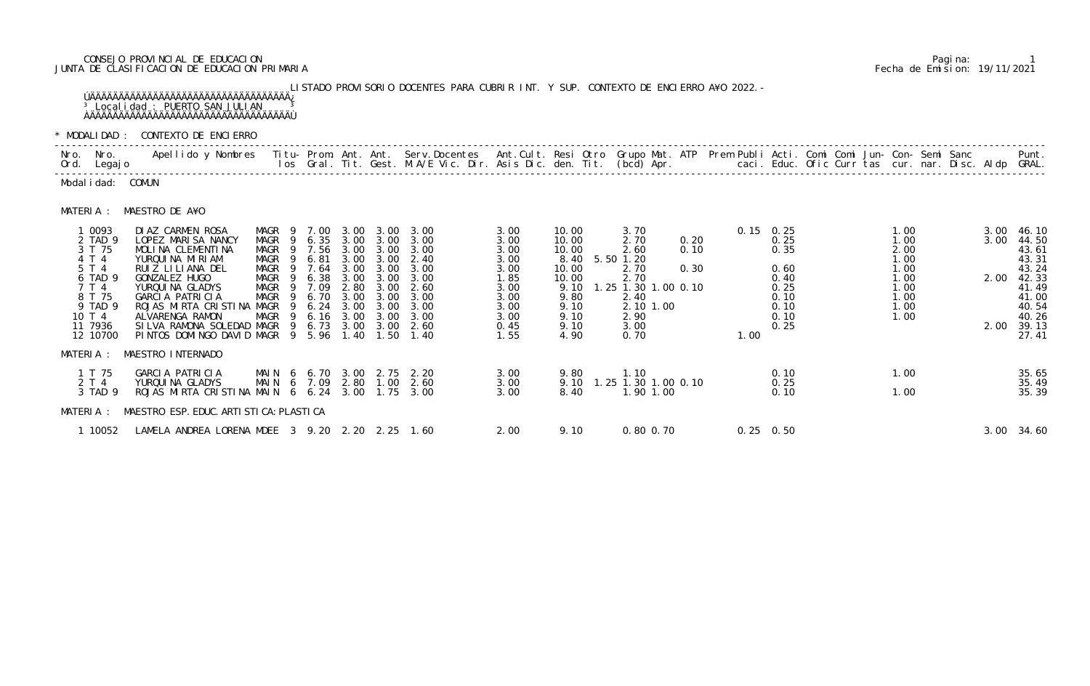# CONSEJO PROVINCIAL DE EDUCACION Pagina: 1 JUNTA DE CLASIFICACION DE EDUCACION PRIMARIA Fecha de Emision: 19/11/2021

 LISTADO PROVISORIO DOCENTES PARA CUBRIR INT. Y SUP. CONTEXTO DE ENCIERRO A¥O 2022.- ÚÄÄÄÄÄÄÄÄÄÄÄÄÄÄÄÄÄÄÄÄÄÄÄÄÄÄÄÄÄÄÄÄÄÄÄ¿ <sup>3</sup> Localidad : PUERTO SAN JULIAN <sup>3</sup> ÀÄÄÄÄÄÄÄÄÄÄÄÄÄÄÄÄÄÄÄÄÄÄÄÄÄÄÄÄÄÄÄÄÄÄÄÙ

\* MODALIDAD : CONTEXTO DE ENCIERRO

|           | Nro. Nro.<br>Ord. Legajo                                                                                                | .Apellido y Nombres  Titu- Prom. Ant. Ant.  Serv.Docentes  Ant.Cult. Resi Otro  Grupo Mat. ATP  Prem Publi Acti. Comi Comi Jun- Con- Semi Sanc              Punt.<br>Ios Gral. Tit. Gest. M.A/E Vic. Dir. Asis Dic. den. Tit. (bc                                      |                                                                                                                                                |                                                                                      |                                                                      |                                                                                                        |                                                                                                        |                                                                                              |                                                                                                             |                                                                                                          |                      |      |                                                                                     |                                                                              |                      |                                                                                                               |
|-----------|-------------------------------------------------------------------------------------------------------------------------|------------------------------------------------------------------------------------------------------------------------------------------------------------------------------------------------------------------------------------------------------------------------|------------------------------------------------------------------------------------------------------------------------------------------------|--------------------------------------------------------------------------------------|----------------------------------------------------------------------|--------------------------------------------------------------------------------------------------------|--------------------------------------------------------------------------------------------------------|----------------------------------------------------------------------------------------------|-------------------------------------------------------------------------------------------------------------|----------------------------------------------------------------------------------------------------------|----------------------|------|-------------------------------------------------------------------------------------|------------------------------------------------------------------------------|----------------------|---------------------------------------------------------------------------------------------------------------|
|           | Modal i dad: COMUN                                                                                                      |                                                                                                                                                                                                                                                                        |                                                                                                                                                |                                                                                      |                                                                      |                                                                                                        |                                                                                                        |                                                                                              |                                                                                                             |                                                                                                          |                      |      |                                                                                     |                                                                              |                      |                                                                                                               |
| MATERIA : |                                                                                                                         | MAESTRO DE A¥O                                                                                                                                                                                                                                                         |                                                                                                                                                |                                                                                      |                                                                      |                                                                                                        |                                                                                                        |                                                                                              |                                                                                                             |                                                                                                          |                      |      |                                                                                     |                                                                              |                      |                                                                                                               |
|           | 1 0093<br>2 TAD 9<br>3 T 75<br>4 T 4<br>5 T 4<br>6 TAD 9<br>7 T 4<br>8 T 75<br>9 TAD 9<br>10 T 4<br>11 7936<br>12 10700 | DIAZ CARMEN ROSA<br>LOPEZ MARISA NANCY<br>MOLINA CLEMENTINA<br>YURQUINA MIRIAM<br>RUIZ LILIANA DEL<br>GONZALEZ HUGO<br>YURQUI NA GLADYS<br>GARCIA PATRICIA<br>ROJAS MIRTA CRISTINA MAGR<br>ALVARENGA RAMON<br>SILVA RAMONA SOLEDAD MAGR<br>PINTOS DOMINGO DAVID MAGR 9 | MAGR 9 7.00<br>MAGR<br>- 9<br>MAGR<br>- 9<br>MAGR<br>- 9<br>MAGR<br>$\overline{9}$<br>MAGR<br>MAGR<br>- 9<br>MAGR<br>- 9<br>MAGR<br>- 9<br>- 9 | 6.35<br>7.56<br>6.81<br>7.64<br>6.38<br>7.09<br>6.70<br>6.24<br>6.16<br>6.73<br>5.96 | 3.00<br>3.00<br>3.00<br>3.00<br>2.80<br>3.00<br>3.00<br>3.00<br>1.40 | 3.00 3.00<br>3.00<br>3.00<br>3.00<br>3.00<br>3.00<br>3.00<br>3.00<br>3.00<br>$3.00 \quad 3.00$<br>1.50 | 3.00 3.00 3.00<br>3.00<br>3.00<br>2.40<br>3.00<br>3.00<br>2.60<br>3.00<br>3.00<br>3.00<br>2.60<br>1.40 | 3.00<br>3.00<br>3.00<br>3.00<br>3.00<br>1.85<br>3.00<br>3.00<br>3.00<br>3.00<br>0.45<br>1.55 | 10.00<br>10.00<br>10.00<br>8.40 5.50 1.20<br>10.00<br>10.00<br>9.10<br>9.80<br>9.10<br>9.10<br>9.10<br>4.90 | 3.70<br>2.70<br>2.60<br>2.70<br>2.70<br>1.25 1.30 1.00 0.10<br>2.40<br>2.10 1.00<br>2.90<br>3.00<br>0.70 | 0.20<br>0.10<br>0.30 | 1.00 | $0.15$ 0.25<br>0.25<br>0.35<br>0.60<br>0.40<br>0.25<br>0.10<br>0.10<br>0.10<br>0.25 | 1.00<br>1.00<br>2.00<br>1.00<br>1.00<br>1.00<br>1.00<br>1.00<br>1.00<br>1.00 | 3.00<br>2.00<br>2.00 | 3.00 46.10<br>44.50<br>43.61<br>43.31<br>43.24<br>42.33<br>41.49<br>41.00<br>40.54<br>40.26<br>39.13<br>27.41 |
|           |                                                                                                                         | MATERIA : MAESTRO INTERNADO                                                                                                                                                                                                                                            |                                                                                                                                                |                                                                                      |                                                                      |                                                                                                        |                                                                                                        |                                                                                              |                                                                                                             |                                                                                                          |                      |      |                                                                                     |                                                                              |                      |                                                                                                               |
|           | 1 T 75<br>2 T 4<br>3 TAD 9                                                                                              | GARCIA PATRICIA<br>YURQUI NA GLADYS<br>ROJAS MIRTA CRISTINA MAIN 6 6.24 3.00 1.75 3.00                                                                                                                                                                                 | MAIN 6 7.09 2.80 1.00                                                                                                                          |                                                                                      |                                                                      |                                                                                                        | MAIN 6 6.70 3.00 2.75 2.20<br>2.60                                                                     | 3.00<br>3.00<br>3.00                                                                         | 9.80<br>9.10<br>8.40                                                                                        | 1.10<br>1.25 1.30 1.00 0.10<br>1.90 1.00                                                                 |                      |      | 0.10<br>0.25<br>0.10                                                                | 1.00<br>1.00                                                                 |                      | 35.65<br>35.49<br>35.39                                                                                       |
|           |                                                                                                                         | MATERIA : MAESTRO ESP. EDUC. ARTI STI CA: PLASTI CA                                                                                                                                                                                                                    |                                                                                                                                                |                                                                                      |                                                                      |                                                                                                        |                                                                                                        |                                                                                              |                                                                                                             |                                                                                                          |                      |      |                                                                                     |                                                                              |                      |                                                                                                               |
|           | 1 10052                                                                                                                 | LAMELA ANDREA LORENA MDEE 3 9.20 2.20 2.25 1.60                                                                                                                                                                                                                        |                                                                                                                                                |                                                                                      |                                                                      |                                                                                                        |                                                                                                        | 2.00                                                                                         | 9.10                                                                                                        | $0.80$ $0.70$                                                                                            |                      |      | $0.25 \quad 0.50$                                                                   |                                                                              |                      | 3.00 34.60                                                                                                    |

|                                                                                                                         | MODALIDAD : CONTEXTO DE ENCIERRO                                                                                                                                                                                                                                     |                                                                                                          |                                                                                        |                                                                                      |                                                                                                           |                                                                                              |                                                                                              |                                                                                           |                                                                                                                            |                      |                                                      |                                                                      |  |                                                                              |  |                      |                                                                                                               |
|-------------------------------------------------------------------------------------------------------------------------|----------------------------------------------------------------------------------------------------------------------------------------------------------------------------------------------------------------------------------------------------------------------|----------------------------------------------------------------------------------------------------------|----------------------------------------------------------------------------------------|--------------------------------------------------------------------------------------|-----------------------------------------------------------------------------------------------------------|----------------------------------------------------------------------------------------------|----------------------------------------------------------------------------------------------|-------------------------------------------------------------------------------------------|----------------------------------------------------------------------------------------------------------------------------|----------------------|------------------------------------------------------|----------------------------------------------------------------------|--|------------------------------------------------------------------------------|--|----------------------|---------------------------------------------------------------------------------------------------------------|
| ro. Nro.<br>rd. Legajo                                                                                                  | Apellido y Nombres - Titu- Prom. Ant. Ant. Serv.Docentes - Ant.Cult. Resi Otro Grupo Mat. ATP - Prem Publi Acti. Comi Comi Jun- Con- Semi Sanc                                                                                                                       |                                                                                                          |                                                                                        |                                                                                      |                                                                                                           | los Gral. Tit. Gest. M.A/E Vic. Dir. Asis Dic. den. Tit. (bcd) Apr.                          |                                                                                              |                                                                                           |                                                                                                                            |                      | caci. Educ. Ofic Curr tas cur. nar. Disc. Aldp GRAL. |                                                                      |  |                                                                              |  |                      | Punt.                                                                                                         |
| odalidad: COMUN                                                                                                         |                                                                                                                                                                                                                                                                      |                                                                                                          |                                                                                        |                                                                                      |                                                                                                           |                                                                                              |                                                                                              |                                                                                           |                                                                                                                            |                      |                                                      |                                                                      |  |                                                                              |  |                      |                                                                                                               |
|                                                                                                                         | ATERIA : MAESTRO DE A¥O                                                                                                                                                                                                                                              |                                                                                                          |                                                                                        |                                                                                      |                                                                                                           |                                                                                              |                                                                                              |                                                                                           |                                                                                                                            |                      |                                                      |                                                                      |  |                                                                              |  |                      |                                                                                                               |
| 1 0093<br>2 TAD 9<br>3 T 75<br>4 T 4<br>5 T 4<br>6 TAD 9<br>7 T 4<br>8 T 75<br>9 TAD 9<br>10 T 4<br>11 7936<br>12 10700 | DIAZ CARMEN ROSA<br>LOPEZ MARISA NANCY<br>MOLINA CLEMENTINA<br>YURQUINA MIRIAM<br>RUIZ LILIANA DEL<br>GONZALEZ HUGO<br>YURQUI NA GLADYS<br>GARCIA PATRICIA<br>ROJAS MIRTA CRISTINA MAGR<br>ALVARENGA RAMON<br>SILVA RAMONA SOLEDAD MAGR<br>PINTOS DOMINGO DAVID MAGR | MAGR 9 7.00<br>MAGR<br>-9<br>MAGR<br>MAGR<br>9<br>MAGR<br>- 9<br>MAGR<br>MAGR<br>-9<br>MAGR<br>MAGR<br>9 | 6.35<br>7.56<br>6.81<br>7.64<br>6.38<br>7.09<br>6.70<br>6.24<br>6.16<br>6.73<br>9 5.96 | 3.00<br>3.00<br>3.00<br>3.00<br>3.00<br>2.80<br>3.00<br>3.00<br>3.00<br>3.00<br>1.40 | $3.00 \quad 3.00$<br>3.00<br>3.00<br>3.00<br>3.00<br>3.00<br>3.00<br>3.00<br>3.00<br>3.00<br>3.00<br>1.50 | 3.00<br>3.00<br>3.00<br>2.40<br>3.00<br>3.00<br>2.60<br>3.00<br>3.00<br>3.00<br>2.60<br>1.40 | 3.00<br>3.00<br>3.00<br>3.00<br>3.00<br>1.85<br>3.00<br>3.00<br>3.00<br>3.00<br>0.45<br>1.55 | 10.00<br>10.00<br>10.00<br>10.00<br>10.00<br>9.10<br>9.80<br>9.10<br>9.10<br>9.10<br>4.90 | 3.70<br>2.70<br>2.60<br>8.40 5.50 1.20<br>2.70<br>2.70<br>1.25 1.30 1.00 0.10<br>2.40<br>2.10 1.00<br>2.90<br>3.00<br>0.70 | 0.20<br>0.10<br>0.30 | $0.15 \quad 0.25$<br>1.00                            | 0.25<br>0.35<br>0.60<br>0.40<br>0.25<br>0.10<br>0.10<br>0.10<br>0.25 |  | 1.00<br>1.00<br>2.00<br>1.00<br>1.00<br>1.00<br>1.00<br>1.00<br>1.00<br>1.00 |  | 3.00<br>2.00<br>2.00 | 3.00 46.10<br>44.50<br>43.61<br>43.31<br>43.24<br>42.33<br>41.49<br>41.00<br>40.54<br>40.26<br>39.13<br>27.41 |
|                                                                                                                         | ATERIA : MAESTRO INTERNADO                                                                                                                                                                                                                                           |                                                                                                          |                                                                                        |                                                                                      |                                                                                                           |                                                                                              |                                                                                              |                                                                                           |                                                                                                                            |                      |                                                      |                                                                      |  |                                                                              |  |                      |                                                                                                               |
| 1 T 75<br>2 T 4<br>3 TAD 9                                                                                              | GARCIA PATRICIA<br>YURQUI NA GLADYS<br>ROJAS MIRTA CRISTINA MAIN 6 6.24 3.00                                                                                                                                                                                         | MAIN 6 6.70 3.00 2.75 2.20<br>MAIN 6 7.09 2.80 1.00                                                      |                                                                                        |                                                                                      | 1.75                                                                                                      | 2.60<br>3.00                                                                                 | 3.00<br>3.00<br>3.00                                                                         | 9.80<br>9.10<br>8.40                                                                      | 1.10<br>1.25 1.30 1.00 0.10<br>1.90 1.00                                                                                   |                      |                                                      | 0.10<br>0.25<br>0.10                                                 |  | 1.00<br>1.00                                                                 |  |                      | 35.65<br>35.49<br>35.39                                                                                       |
|                                                                                                                         | ATERIA : MAESTRO ESP. EDUC. ARTISTICA: PLASTICA                                                                                                                                                                                                                      |                                                                                                          |                                                                                        |                                                                                      |                                                                                                           |                                                                                              |                                                                                              |                                                                                           |                                                                                                                            |                      |                                                      |                                                                      |  |                                                                              |  |                      |                                                                                                               |
| 1 10052                                                                                                                 | LAMELA ANDREA LORENA MDEE 3 9.20 2.20 2.25 1.60                                                                                                                                                                                                                      |                                                                                                          |                                                                                        |                                                                                      |                                                                                                           |                                                                                              | 2.00                                                                                         | 9.10                                                                                      | 0.80 0.70                                                                                                                  |                      | $0.25 \quad 0.50$                                    |                                                                      |  |                                                                              |  |                      | 3.00 34.60                                                                                                    |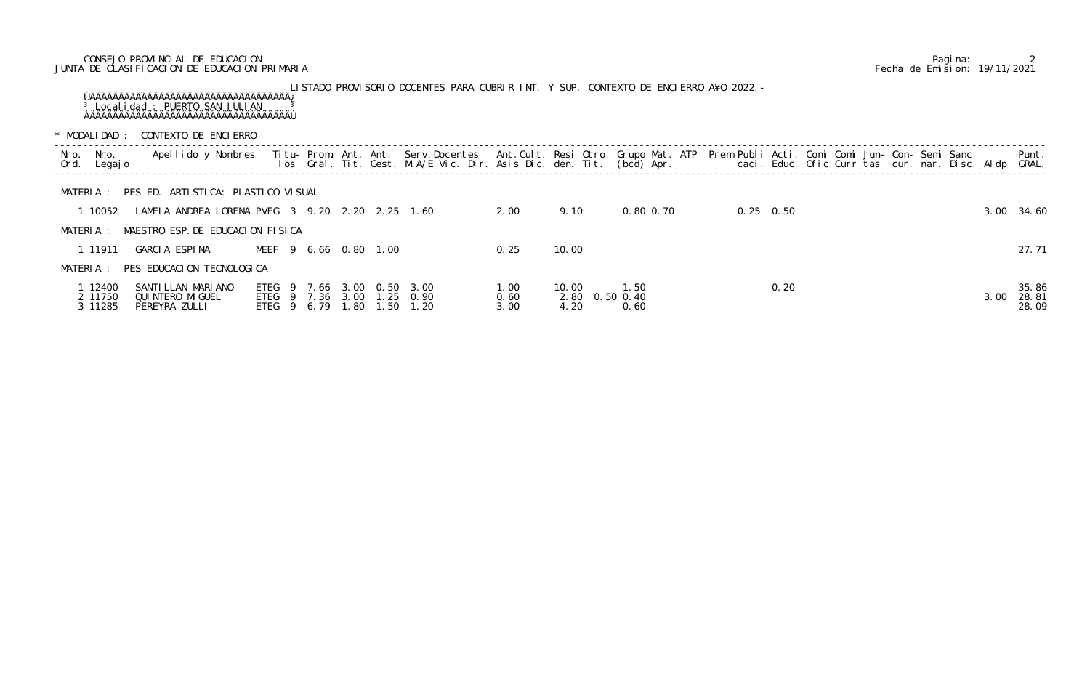# CONSEJO PROVINCIAL DE EDUCACION Pagina: 2 JUNTA DE CLASIFICACION DE EDUCACION PRIMARIA Fecha de Emision: 19/11/2021

LISTADO PROVISORIO DOCENTES PARA CUBRIR INT. Y SUP. CONTEXTO DE ENCIERRO A¥O 2022.- ÚÄÄÄÄÄÄÄÄÄÄÄÄÄÄÄÄÄÄÄÄÄÄÄÄÄÄÄÄÄÄÄÄÄÄÄ¿ <sup>3</sup> Localidad : PUERTO SAN JULIAN <sup>3</sup> ÀÄÄÄÄÄÄÄÄÄÄÄÄÄÄÄÄÄÄÄÄÄÄÄÄÄÄÄÄÄÄÄÄÄÄÄÙ

\* MODALIDAD : CONTEXTO DE ENCIERRO

|              | IVIUUHLI UHU                  | <b>UUITLATU DE LITULITUTU</b>                             |                                                  |  |              |      |                                                                                                                                                                                                                                                    |                      |                       |                                |  |                   |  |  |      |                         |
|--------------|-------------------------------|-----------------------------------------------------------|--------------------------------------------------|--|--------------|------|----------------------------------------------------------------------------------------------------------------------------------------------------------------------------------------------------------------------------------------------------|----------------------|-----------------------|--------------------------------|--|-------------------|--|--|------|-------------------------|
| Nro.<br>Ord. | Nro.<br>Legaj o               | Apellido y Nombres                                        |                                                  |  |              |      | Titu- Prom. Ant. Ant. Serv.Docentes Ant.Cult. Resi Otro Grupo Mat. ATP Prem Publi Acti. Comi Comi Jun- Con- Semi Sanc<br>los Gral. Tit. Gest. M.A/E Vic. Dir. Asis Dic. den. Tit. (bcd) Apr.        caci. Educ. Ofic Curr tas cur. nar. Disc. Aldp |                      |                       |                                |  |                   |  |  |      | Punt.<br>GRAL.          |
|              | MATERIA :                     | PES ED. ARTISTICA: PLASTICO VISUAL                        |                                                  |  |              |      |                                                                                                                                                                                                                                                    |                      |                       |                                |  |                   |  |  |      |                         |
|              | 1 10052                       | LAMELA ANDREA LORENA PVEG 3 9.20 2.20 2.25 1.60           |                                                  |  |              |      |                                                                                                                                                                                                                                                    | 2.00                 | 9.10                  | 0.80 0.70                      |  | $0.25 \quad 0.50$ |  |  |      | 3.00 34.60              |
|              | MATERIA :                     | MAESTRO ESP. DE EDUCACION FISICA                          |                                                  |  |              |      |                                                                                                                                                                                                                                                    |                      |                       |                                |  |                   |  |  |      |                         |
|              | 1 11911                       | GARCIA ESPINA                                             | MEEF 9 6.66 0.80 1.00                            |  |              |      |                                                                                                                                                                                                                                                    | 0. 25                | 10.00                 |                                |  |                   |  |  |      | 27.71                   |
|              | MATERIA :                     | PES EDUCACION TECNOLOGICA                                 |                                                  |  |              |      |                                                                                                                                                                                                                                                    |                      |                       |                                |  |                   |  |  |      |                         |
|              | 1 12400<br>2 11750<br>3 11285 | SANTI LLAN MARI ANO<br>QUI NTERO MI GUEL<br>PEREYRA ZULLI | ETEG 9 7.66<br>ETEG 9 7.36 3.00<br>ETEG 9 6.79 1 |  | 3.00<br>. 80 | 1.50 | 0.50 3.00<br>1.25 0.90<br>1.20                                                                                                                                                                                                                     | 1.00<br>0.60<br>3.00 | 10.00<br>2.80<br>4.20 | 1.50<br>$0.50 \, 0.40$<br>0.60 |  | 0.20              |  |  | 3.00 | 35.86<br>28.81<br>28.09 |